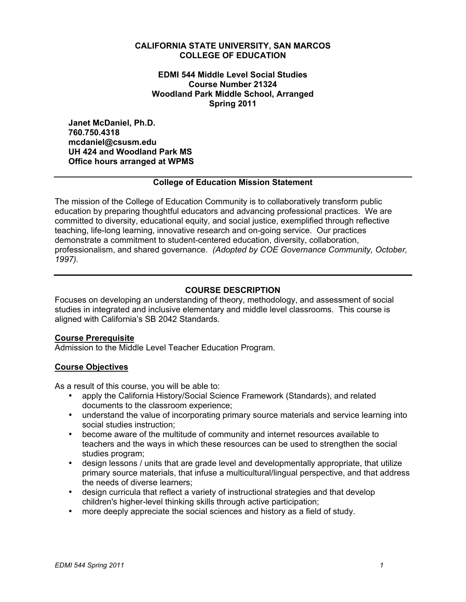#### **CALIFORNIA STATE UNIVERSITY, SAN MARCOS COLLEGE OF EDUCATION**

 **EDMI 544 Middle Level Social Studies Woodland Park Middle School, Arranged Course Number 21324 Spring 2011**

**Janet McDaniel, Ph.D. 760.750.4318 mcdaniel@csusm.edu UH 424 and Woodland Park MS Office hours arranged at WPMS** 

#### **College of Education Mission Statement**

 education by preparing thoughtful educators and advancing professional practices. We are committed to diversity, educational equity, and social justice, exemplified through reflective teaching, life-long learning, innovative research and on-going service. Our practices professionalism, and shared governance. *(Adopted by COE Governance Community, October,*  The mission of the College of Education Community is to collaboratively transform public demonstrate a commitment to student-centered education, diversity, collaboration, *1997).* 

## **COURSE DESCRIPTION**

 Focuses on developing an understanding of theory, methodology, and assessment of social aligned with California's SB 2042 Standards. studies in integrated and inclusive elementary and middle level classrooms. This course is

#### **Course Prerequisite**

Admission to the Middle Level Teacher Education Program.

## **Course Objectives**

As a result of this course, you will be able to:

- apply the California History/Social Science Framework (Standards), and related documents to the classroom experience;
- understand the value of incorporating primary source materials and service learning into social studies instruction;
- become aware of the multitude of community and internet resources available to teachers and the ways in which these resources can be used to strengthen the social studies program;
- design lessons / units that are grade level and developmentally appropriate, that utilize primary source materials, that infuse a multicultural/lingual perspective, and that address the needs of diverse learners;
- design curricula that reflect a variety of instructional strategies and that develop children's higher-level thinking skills through active participation;
- more deeply appreciate the social sciences and history as a field of study.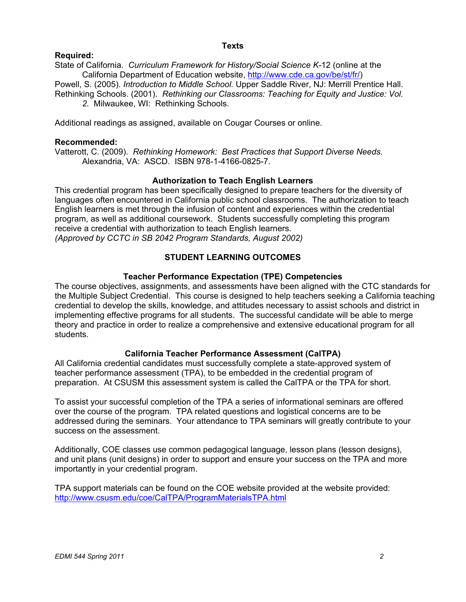#### **Texts**

## **Required:**

 State of California. *Curriculum Framework for History/Social Science K-*12 (online at the California Department of Education website, http://www.cde.ca.gov/be/st/fr/)

 Powell, S. (2005). *Introduction to Middle School.* Upper Saddle River, NJ: Merrill Prentice Hall.  *2.* Milwaukee, WI: Rethinking Schools. Rethinking Schools. (2001). *Rethinking our Classrooms: Teaching for Equity and Justice: Vol.* 

Additional readings as assigned, available on Cougar Courses or online.

#### **Recommended:**

 Vatterott, C. (2009). *Rethinking Homework: Best Practices that Support Diverse Needs.*  Alexandria, VA: ASCD. ISBN 978-1-4166-0825-7.

## **Authorization to Teach English Learners**

 This credential program has been specifically designed to prepare teachers for the diversity of English learners is met through the infusion of content and experiences within the credential program, as well as additional coursework. Students successfully completing this program  *(Approved by CCTC in SB 2042 Program Standards, August 2002)*  languages often encountered in California public school classrooms. The authorization to teach receive a credential with authorization to teach English learners.

## **STUDENT LEARNING OUTCOMES**

#### **Teacher Performance Expectation (TPE) Competencies**

 theory and practice in order to realize a comprehensive and extensive educational program for all The course objectives, assignments, and assessments have been aligned with the CTC standards for the Multiple Subject Credential. This course is designed to help teachers seeking a California teaching credential to develop the skills, knowledge, and attitudes necessary to assist schools and district in implementing effective programs for all students. The successful candidate will be able to merge students.

## **California Teacher Performance Assessment (CalTPA)**

 All California credential candidates must successfully complete a state-approved system of teacher performance assessment (TPA), to be embedded in the credential program of preparation. At CSUSM this assessment system is called the CalTPA or the TPA for short.

 To assist your successful completion of the TPA a series of informational seminars are offered over the course of the program. TPA related questions and logistical concerns are to be addressed during the seminars. Your attendance to TPA seminars will greatly contribute to your success on the assessment.

 and unit plans (unit designs) in order to support and ensure your success on the TPA and more Additionally, COE classes use common pedagogical language, lesson plans (lesson designs), importantly in your credential program.

TPA support materials can be found on the COE website provided at the website provided: http://www.csusm.edu/coe/CalTPA/ProgramMaterialsTPA.html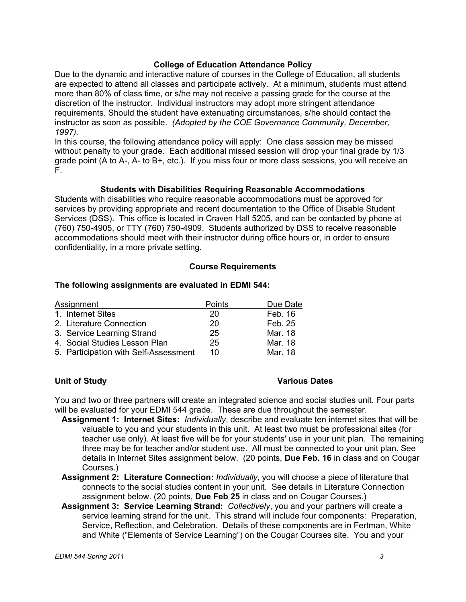#### **College of Education Attendance Policy**

 Due to the dynamic and interactive nature of courses in the College of Education, all students are expected to attend all classes and participate actively. At a minimum, students must attend more than 80% of class time, or s/he may not receive a passing grade for the course at the *1997).* discretion of the instructor. Individual instructors may adopt more stringent attendance requirements. Should the student have extenuating circumstances, s/he should contact the instructor as soon as possible. *(Adopted by the COE Governance Community, December,* 

 without penalty to your grade. Each additional missed session will drop your final grade by 1/3 In this course, the following attendance policy will apply: One class session may be missed grade point (A to A-, A- to B+, etc.). If you miss four or more class sessions, you will receive an F.

#### **Students with Disabilities Requiring Reasonable Accommodations**

 Services (DSS). This office is located in Craven Hall 5205, and can be contacted by phone at (760) 750-4905, or TTY (760) 750-4909. Students authorized by DSS to receive reasonable Students with disabilities who require reasonable accommodations must be approved for services by providing appropriate and recent documentation to the Office of Disable Student accommodations should meet with their instructor during office hours or, in order to ensure confidentiality, in a more private setting.

#### **Course Requirements**

#### **The following assignments are evaluated in EDMI 544:**

| Assignment                            | Points | Due Date |
|---------------------------------------|--------|----------|
| 1. Internet Sites                     | 20     | Feb. 16  |
| 2. Literature Connection              | 20     | Feb. 25  |
| 3. Service Learning Strand            | 25     | Mar. 18  |
| 4. Social Studies Lesson Plan         | 25     | Mar. 18  |
| 5. Participation with Self-Assessment | 10     | Mar. 18  |

## **Unit of Study**

#### **Various Dates**

 You and two or three partners will create an integrated science and social studies unit. Four parts will be evaluated for your EDMI 544 grade. These are due throughout the semester.

- valuable to you and your students in this unit. At least two must be professional sites (for details in Internet Sites assignment below. (20 points, **Due Feb. 16** in class and on Cougar **Assignment 1: Internet Sites:** *Individually*, describe and evaluate ten internet sites that will be teacher use only). At least five will be for your students' use in your unit plan. The remaining three may be for teacher and/or student use. All must be connected to your unit plan. See Courses.)
- **Assignment 2: Literature Connection:** *Individually*, you will choose a piece of literature that connects to the social studies content in your unit. See details in Literature Connection assignment below. (20 points, **Due Feb 25** in class and on Cougar Courses.)
- **Assignment 3: Service Learning Strand:** *Collectively*, you and your partners will create a Service, Reflection, and Celebration. Details of these components are in Fertman, White and White ("Elements of Service Learning") on the Cougar Courses site. You and your service learning strand for the unit. This strand will include four components: Preparation,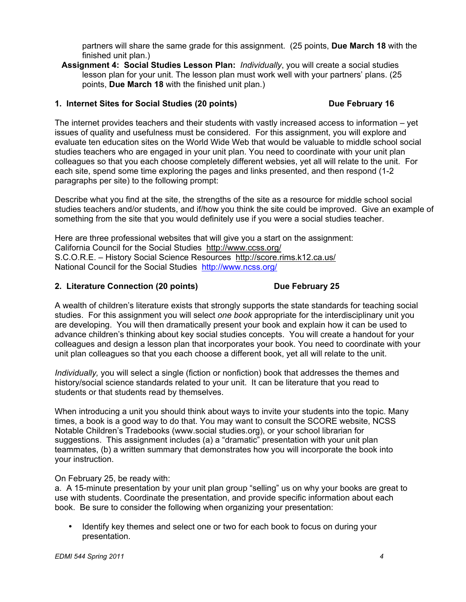partners will share the same grade for this assignment. (25 points, **Due March 18** with the finished unit plan.)

 **Assignment 4: Social Studies Lesson Plan:** *Individually*, you will create a social studies lesson plan for your unit. The lesson plan must work well with your partners' plans. (25 points, **Due March 18** with the finished unit plan.)

## 1. Internet Sites for Social Studies (20 points) **Due February 16**

 evaluate ten education sites on the World Wide Web that would be valuable to middle school social colleagues so that you each choose completely different websies, yet all will relate to the unit. For The internet provides teachers and their students with vastly increased access to information – yet issues of quality and usefulness must be considered. For this assignment, you will explore and studies teachers who are engaged in your unit plan. You need to coordinate with your unit plan each site, spend some time exploring the pages and links presented, and then respond (1-2 paragraphs per site) to the following prompt:

 Describe what you find at the site, the strengths of the site as a resource for middle school social studies teachers and/or students, and if/how you think the site could be improved. Give an example of something from the site that you would definitely use if you were a social studies teacher.

 Here are three professional websites that will give you a start on the assignment: California Council for the Social Studies http://www.ccss.org/ National Council for the Social Studies http://www.ncss.org/ S.C.O.R.E. – History Social Science Resources http://score.rims.k12.ca.us/

## **2. Literature Connection (20 points) Due February 25**

 are developing. You will then dramatically present your book and explain how it can be used to unit plan colleagues so that you each choose a different book, yet all will relate to the unit. A wealth of children's literature exists that strongly supports the state standards for teaching social studies. For this assignment you will select *one book* appropriate for the interdisciplinary unit you advance children's thinking about key social studies concepts. You will create a handout for your colleagues and design a lesson plan that incorporates your book. You need to coordinate with your

 history/social science standards related to your unit. It can be literature that you read to *Individually,* you will select a single (fiction or nonfiction) book that addresses the themes and students or that students read by themselves.

 Notable Children's Tradebooks (www.social studies.org), or your school librarian for suggestions. This assignment includes (a) a "dramatic" presentation with your unit plan When introducing a unit you should think about ways to invite your students into the topic. Many times, a book is a good way to do that. You may want to consult the SCORE website, NCSS teammates, (b) a written summary that demonstrates how you will incorporate the book into your instruction.

## On February 25, be ready with:

 a. A 15-minute presentation by your unit plan group "selling" us on why your books are great to book. Be sure to consider the following when organizing your presentation: use with students. Coordinate the presentation, and provide specific information about each

Identify key themes and select one or two for each book to focus on during your presentation.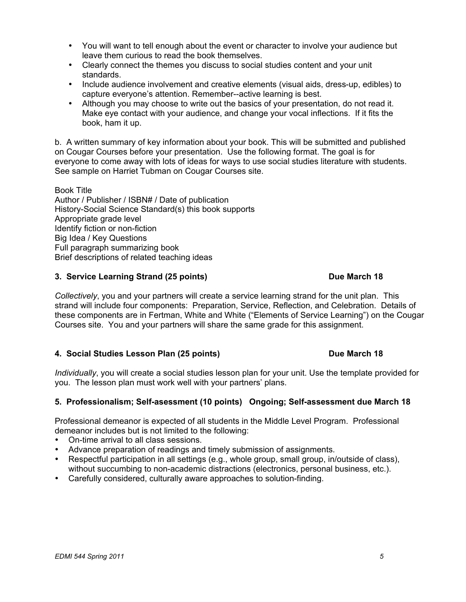- You will want to tell enough about the event or character to involve your audience but leave them curious to read the book themselves.
- Clearly connect the themes you discuss to social studies content and your unit standards.
- Include audience involvement and creative elements (visual aids, dress-up, edibles) to capture everyone's attention. Remember--active learning is best.
- Although you may choose to write out the basics of your presentation, do not read it. Make eye contact with your audience, and change your vocal inflections. If it fits the book, ham it up.

 b. A written summary of key information about your book. This will be submitted and published on Cougar Courses before your presentation. Use the following format. The goal is for everyone to come away with lots of ideas for ways to use social studies literature with students.<br>See sample on Harriet Tubman on Cougar Courses site.

 Author / Publisher / ISBN# / Date of publication Book Title History-Social Science Standard(s) this book supports Appropriate grade level Identify fiction or non-fiction Big Idea / Key Questions Full paragraph summarizing book Brief descriptions of related teaching ideas

## **3. Service Learning Strand (25 points)** Due March 18

 Courses site. You and your partners will share the same grade for this assignment. *Collectively*, you and your partners will create a service learning strand for the unit plan. This strand will include four components: Preparation, Service, Reflection, and Celebration. Details of these components are in Fertman, White and White ("Elements of Service Learning") on the Cougar

## 4. Social Studies Lesson Plan (25 points) **Due March 18**

 you. The lesson plan must work well with your partners' plans. *Individually*, you will create a social studies lesson plan for your unit. Use the template provided for

## **5. Professionalism; Self-asessment (10 points) Ongoing; Self-assessment due March 18**

 Professional demeanor is expected of all students in the Middle Level Program. Professional demeanor includes but is not limited to the following:

- On-time arrival to all class sessions.
- Advance preparation of readings and timely submission of assignments.
- without succumbing to non-academic distractions (electronics, personal business, etc.). • Respectful participation in all settings (e.g., whole group, small group, in/outside of class),
- Carefully considered, culturally aware approaches to solution-finding.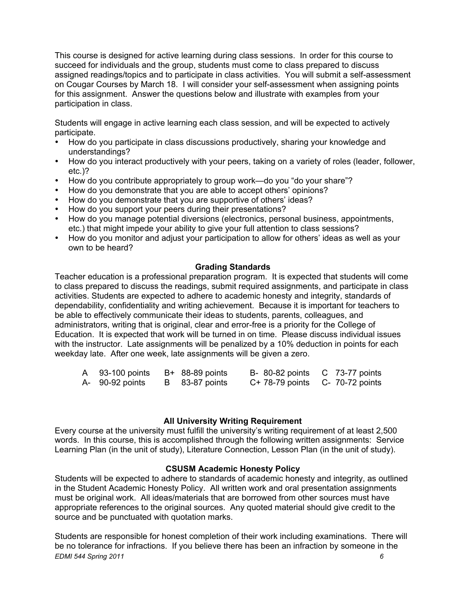assigned readings/topics and to participate in class activities. You will submit a self-assessment on Cougar Courses by March 18. I will consider your self-assessment when assigning points This course is designed for active learning during class sessions. In order for this course to succeed for individuals and the group, students must come to class prepared to discuss for this assignment. Answer the questions below and illustrate with examples from your participation in class.

Students will engage in active learning each class session, and will be expected to actively participate.

- How do you participate in class discussions productively, sharing your knowledge and understandings?
- How do you interact productively with your peers, taking on a variety of roles (leader, follower, etc.)?
- How do you contribute appropriately to group work—do you "do your share"?
- How do you demonstrate that you are able to accept others' opinions?
- How do you demonstrate that you are supportive of others' ideas?
- How do you support your peers during their presentations?
- How do you manage potential diversions (electronics, personal business, appointments, etc.) that might impede your ability to give your full attention to class sessions?
- How do you monitor and adjust your participation to allow for others' ideas as well as your own to be heard?

#### **Grading Standards**

 Teacher education is a professional preparation program. It is expected that students will come dependability, confidentiality and writing achievement. Because it is important for teachers to be able to effectively communicate their ideas to students, parents, colleagues, and administrators, writing that is original, clear and error-free is a priority for the College of Education. It is expected that work will be turned in on time. Please discuss individual issues with the instructor. Late assignments will be penalized by a 10% deduction in points for each weekday late. After one week, late assignments will be given a zero. to class prepared to discuss the readings, submit required assignments, and participate in class activities. Students are expected to adhere to academic honesty and integrity, standards of

| A 93-100 points | B+ 88-89 points | B- 80-82 points C 73-77 points  |  |
|-----------------|-----------------|---------------------------------|--|
| A- 90-92 points | B 83-87 points  | C+ 78-79 points C- 70-72 points |  |

#### **All University Writing Requirement**

 Every course at the university must fulfill the university's writing requirement of at least 2,500 words. In this course, this is accomplished through the following written assignments: Service Learning Plan (in the unit of study), Literature Connection, Lesson Plan (in the unit of study).

#### **CSUSM Academic Honesty Policy**

 must be original work. All ideas/materials that are borrowed from other sources must have appropriate references to the original sources. Any quoted material should give credit to the Students will be expected to adhere to standards of academic honesty and integrity, as outlined in the Student Academic Honesty Policy. All written work and oral presentation assignments source and be punctuated with quotation marks.

 Students are responsible for honest completion of their work including examinations. There will be no tolerance for infractions. If you believe there has been an infraction by someone in the *EDMI 544 Spring 2011 6*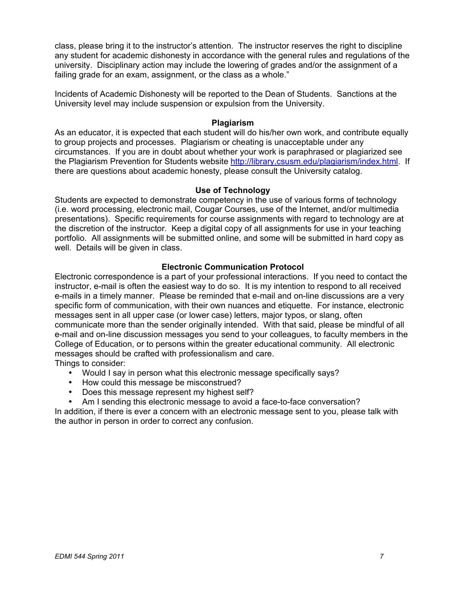university. Disciplinary action may include the lowering of grades and/or the assignment of a class, please bring it to the instructor's attention. The instructor reserves the right to discipline any student for academic dishonesty in accordance with the general rules and regulations of the failing grade for an exam, assignment, or the class as a whole."

Incidents of Academic Dishonesty will be reported to the Dean of Students. Sanctions at the University level may include suspension or expulsion from the University.

#### **Plagiarism**

 As an educator, it is expected that each student will do his/her own work, and contribute equally to group projects and processes. Plagiarism or cheating is unacceptable under any circumstances. If you are in doubt about whether your work is paraphrased or plagiarized see the Plagiarism Prevention for Students website http://library.csusm.edu/plagiarism/index.html. If there are questions about academic honesty, please consult the University catalog.

#### **Use of Technology**

 presentations). Specific requirements for course assignments with regard to technology are at portfolio. All assignments will be submitted online, and some will be submitted in hard copy as well. Details will be given in class. Students are expected to demonstrate competency in the use of various forms of technology (i.e. word processing, electronic mail, Cougar Courses, use of the Internet, and/or multimedia the discretion of the instructor. Keep a digital copy of all assignments for use in your teaching

## **Electronic Communication Protocol**

 Electronic correspondence is a part of your professional interactions. If you need to contact the instructor, e-mail is often the easiest way to do so. It is my intention to respond to all received e-mails in a timely manner. Please be reminded that e-mail and on-line discussions are a very messages sent in all upper case (or lower case) letters, major typos, or slang, often e-mail and on-line discussion messages you send to your colleagues, to faculty members in the College of Education, or to persons within the greater educational community. All electronic messages should be crafted with professionalism and care. specific form of communication, with their own nuances and etiquette. For instance, electronic communicate more than the sender originally intended. With that said, please be mindful of all Things to consider:

- Would I say in person what this electronic message specifically says?
- How could this message be misconstrued?
- Does this message represent my highest self?
- Am I sending this electronic message to avoid a face-to-face conversation?

In addition, if there is ever a concern with an electronic message sent to you, please talk with the author in person in order to correct any confusion.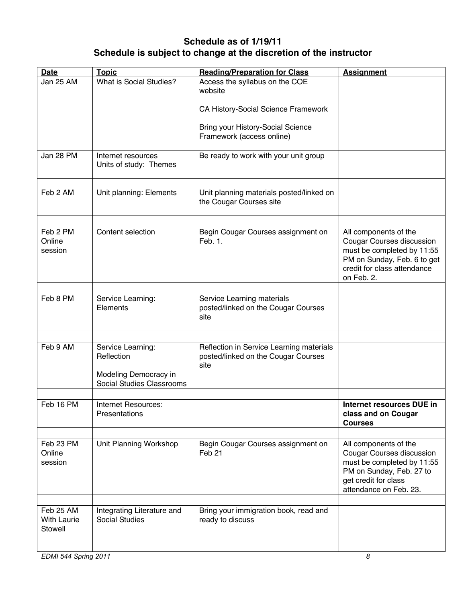# **Schedule as of 1/19/11 Schedule is subject to change at the discretion of the instructor**

| <b>Date</b>                                | <b>Topic</b>                                                                          | <b>Reading/Preparation for Class</b>                                                    | <b>Assignment</b>                                                                                                                                                     |
|--------------------------------------------|---------------------------------------------------------------------------------------|-----------------------------------------------------------------------------------------|-----------------------------------------------------------------------------------------------------------------------------------------------------------------------|
| Jan 25 AM                                  | What is Social Studies?                                                               | Access the syllabus on the COE<br>website                                               |                                                                                                                                                                       |
|                                            |                                                                                       | CA History-Social Science Framework                                                     |                                                                                                                                                                       |
|                                            |                                                                                       | <b>Bring your History-Social Science</b><br>Framework (access online)                   |                                                                                                                                                                       |
|                                            |                                                                                       |                                                                                         |                                                                                                                                                                       |
| Jan 28 PM                                  | Internet resources<br>Units of study: Themes                                          | Be ready to work with your unit group                                                   |                                                                                                                                                                       |
| Feb 2 AM                                   | Unit planning: Elements                                                               | Unit planning materials posted/linked on<br>the Cougar Courses site                     |                                                                                                                                                                       |
|                                            |                                                                                       |                                                                                         |                                                                                                                                                                       |
| Feb 2 PM<br>Online<br>session              | Content selection                                                                     | Begin Cougar Courses assignment on<br>Feb. 1.                                           | All components of the<br><b>Cougar Courses discussion</b><br>must be completed by 11:55<br>PM on Sunday, Feb. 6 to get<br>credit for class attendance<br>on Feb. 2.   |
|                                            |                                                                                       |                                                                                         |                                                                                                                                                                       |
| Feb 8 PM                                   | Service Learning:<br>Elements                                                         | Service Learning materials<br>posted/linked on the Cougar Courses<br>site               |                                                                                                                                                                       |
|                                            |                                                                                       |                                                                                         |                                                                                                                                                                       |
| Feb 9 AM                                   | Service Learning:<br>Reflection<br>Modeling Democracy in<br>Social Studies Classrooms | Reflection in Service Learning materials<br>posted/linked on the Cougar Courses<br>site |                                                                                                                                                                       |
|                                            |                                                                                       |                                                                                         |                                                                                                                                                                       |
| Feb 16 PM                                  | Internet Resources:<br>Presentations                                                  |                                                                                         | Internet resources DUE in<br>class and on Cougar<br><b>Courses</b>                                                                                                    |
|                                            |                                                                                       |                                                                                         |                                                                                                                                                                       |
| Feb 23 PM<br>Online<br>session             | Unit Planning Workshop                                                                | Begin Cougar Courses assignment on<br>Feb <sub>21</sub>                                 | All components of the<br><b>Cougar Courses discussion</b><br>must be completed by 11:55<br>PM on Sunday, Feb. 27 to<br>get credit for class<br>attendance on Feb. 23. |
|                                            |                                                                                       |                                                                                         |                                                                                                                                                                       |
| Feb 25 AM<br><b>With Laurie</b><br>Stowell | Integrating Literature and<br><b>Social Studies</b>                                   | Bring your immigration book, read and<br>ready to discuss                               |                                                                                                                                                                       |
| EDMI 544 Spring 2011                       |                                                                                       |                                                                                         | 8                                                                                                                                                                     |